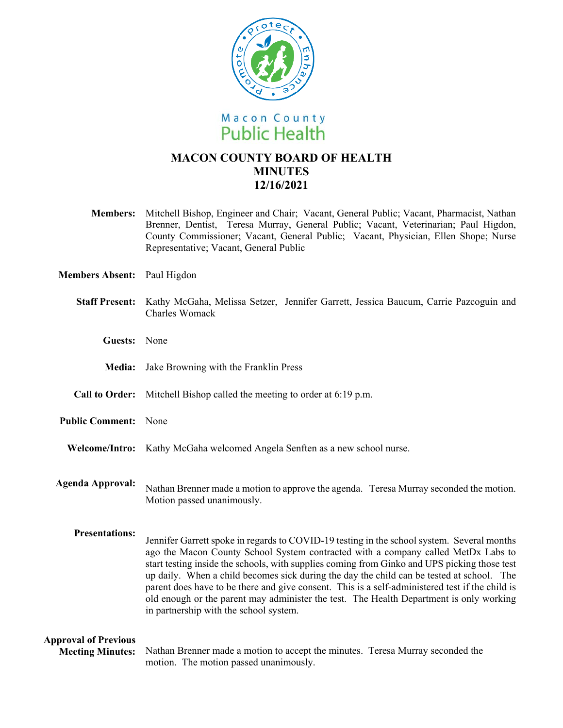

# **MACON COUNTY BOARD OF HEALTH MINUTES 12/16/2021**

**Members:** Mitchell Bishop, Engineer and Chair; Vacant, General Public; Vacant, Pharmacist, Nathan Brenner, Dentist, Teresa Murray, General Public; Vacant, Veterinarian; Paul Higdon, County Commissioner; Vacant, General Public; Vacant, Physician, Ellen Shope; Nurse Representative; Vacant, General Public

**Members Absent:** Paul Higdon

|                                                        | Staff Present: Kathy McGaha, Melissa Setzer, Jennifer Garrett, Jessica Baucum, Carrie Pazcoguin and<br>Charles Womack                                                                                                                                                                                                                                                                                                                                                                                                                                                                                                |
|--------------------------------------------------------|----------------------------------------------------------------------------------------------------------------------------------------------------------------------------------------------------------------------------------------------------------------------------------------------------------------------------------------------------------------------------------------------------------------------------------------------------------------------------------------------------------------------------------------------------------------------------------------------------------------------|
| Guests: None                                           |                                                                                                                                                                                                                                                                                                                                                                                                                                                                                                                                                                                                                      |
| <b>Media:</b>                                          | Jake Browning with the Franklin Press                                                                                                                                                                                                                                                                                                                                                                                                                                                                                                                                                                                |
|                                                        | <b>Call to Order:</b> Mitchell Bishop called the meeting to order at 6:19 p.m.                                                                                                                                                                                                                                                                                                                                                                                                                                                                                                                                       |
| <b>Public Comment:</b> None                            |                                                                                                                                                                                                                                                                                                                                                                                                                                                                                                                                                                                                                      |
|                                                        | Welcome/Intro: Kathy McGaha welcomed Angela Senften as a new school nurse.                                                                                                                                                                                                                                                                                                                                                                                                                                                                                                                                           |
| <b>Agenda Approval:</b>                                | Nathan Brenner made a motion to approve the agenda. Teresa Murray seconded the motion.<br>Motion passed unanimously.                                                                                                                                                                                                                                                                                                                                                                                                                                                                                                 |
| <b>Presentations:</b>                                  | Jennifer Garrett spoke in regards to COVID-19 testing in the school system. Several months<br>ago the Macon County School System contracted with a company called MetDx Labs to<br>start testing inside the schools, with supplies coming from Ginko and UPS picking those test<br>up daily. When a child becomes sick during the day the child can be tested at school. The<br>parent does have to be there and give consent. This is a self-administered test if the child is<br>old enough or the parent may administer the test. The Health Department is only working<br>in partnership with the school system. |
| <b>Approval of Previous</b><br><b>Meeting Minutes:</b> | Nathan Brenner made a motion to accept the minutes. Teresa Murray seconded the<br>motion. The motion passed unanimously.                                                                                                                                                                                                                                                                                                                                                                                                                                                                                             |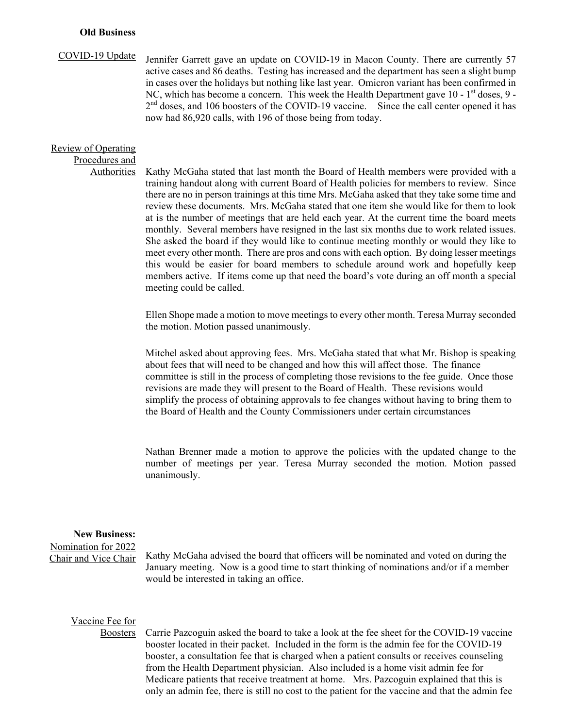#### **Old Business**

### COVID-19 Update

Jennifer Garrett gave an update on COVID-19 in Macon County. There are currently 57 active cases and 86 deaths. Testing has increased and the department has seen a slight bump in cases over the holidays but nothing like last year. Omicron variant has been confirmed in NC, which has become a concern. This week the Health Department gave  $10 - 1<sup>st</sup>$  doses, 9 -2<sup>nd</sup> doses, and 106 boosters of the COVID-19 vaccine. Since the call center opened it has now had 86,920 calls, with 196 of those being from today.

#### Review of Operating Procedures and

Authorities

Kathy McGaha stated that last month the Board of Health members were provided with a training handout along with current Board of Health policies for members to review. Since there are no in person trainings at this time Mrs. McGaha asked that they take some time and review these documents. Mrs. McGaha stated that one item she would like for them to look at is the number of meetings that are held each year. At the current time the board meets monthly. Several members have resigned in the last six months due to work related issues. She asked the board if they would like to continue meeting monthly or would they like to meet every other month. There are pros and cons with each option. By doing lesser meetings this would be easier for board members to schedule around work and hopefully keep members active. If items come up that need the board's vote during an off month a special meeting could be called.

Ellen Shope made a motion to move meetings to every other month. Teresa Murray seconded the motion. Motion passed unanimously.

Mitchel asked about approving fees. Mrs. McGaha stated that what Mr. Bishop is speaking about fees that will need to be changed and how this will affect those. The finance committee is still in the process of completing those revisions to the fee guide. Once those revisions are made they will present to the Board of Health. These revisions would simplify the process of obtaining approvals to fee changes without having to bring them to the Board of Health and the County Commissioners under certain circumstances

Nathan Brenner made a motion to approve the policies with the updated change to the number of meetings per year. Teresa Murray seconded the motion. Motion passed unanimously.

### **New Business:**

Nomination for 2022 Chair and Vice Chair

Kathy McGaha advised the board that officers will be nominated and voted on during the January meeting. Now is a good time to start thinking of nominations and/or if a member would be interested in taking an office.

## Vaccine Fee for

Boosters

Carrie Pazcoguin asked the board to take a look at the fee sheet for the COVID-19 vaccine booster located in their packet. Included in the form is the admin fee for the COVID-19 booster, a consultation fee that is charged when a patient consults or receives counseling from the Health Department physician. Also included is a home visit admin fee for Medicare patients that receive treatment at home. Mrs. Pazcoguin explained that this is only an admin fee, there is still no cost to the patient for the vaccine and that the admin fee